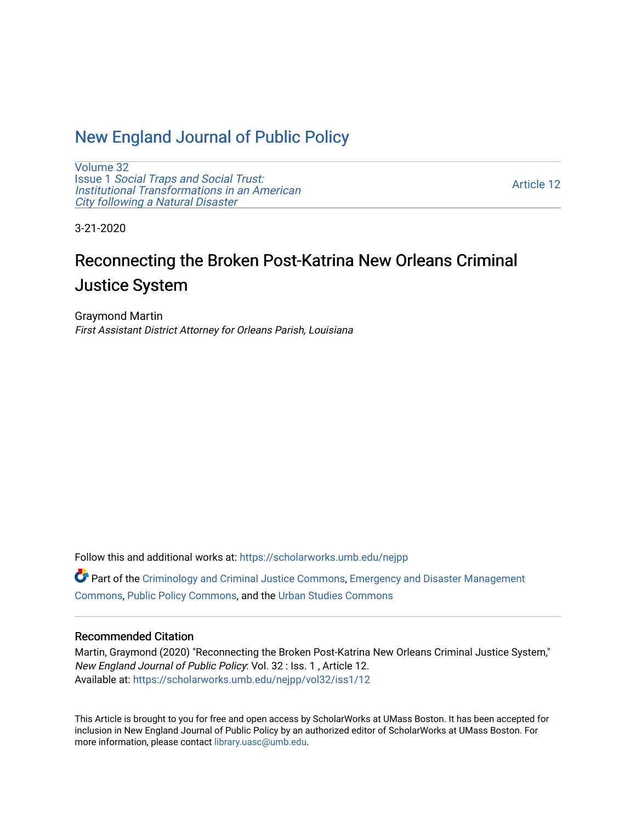### [New England Journal of Public Policy](https://scholarworks.umb.edu/nejpp)

[Volume 32](https://scholarworks.umb.edu/nejpp/vol32) Issue 1 [Social Traps and Social Trust:](https://scholarworks.umb.edu/nejpp/vol32/iss1) [Institutional Transformations in an American](https://scholarworks.umb.edu/nejpp/vol32/iss1)  [City following a Natural Disaster](https://scholarworks.umb.edu/nejpp/vol32/iss1)

[Article 12](https://scholarworks.umb.edu/nejpp/vol32/iss1/12) 

3-21-2020

# Reconnecting the Broken Post-Katrina New Orleans Criminal Justice System

Graymond Martin First Assistant District Attorney for Orleans Parish, Louisiana

Follow this and additional works at: [https://scholarworks.umb.edu/nejpp](https://scholarworks.umb.edu/nejpp?utm_source=scholarworks.umb.edu%2Fnejpp%2Fvol32%2Fiss1%2F12&utm_medium=PDF&utm_campaign=PDFCoverPages)

 $\bullet$  Part of the [Criminology and Criminal Justice Commons](http://network.bepress.com/hgg/discipline/367?utm_source=scholarworks.umb.edu%2Fnejpp%2Fvol32%2Fiss1%2F12&utm_medium=PDF&utm_campaign=PDFCoverPages), Emergency and Disaster Management [Commons](http://network.bepress.com/hgg/discipline/1321?utm_source=scholarworks.umb.edu%2Fnejpp%2Fvol32%2Fiss1%2F12&utm_medium=PDF&utm_campaign=PDFCoverPages), [Public Policy Commons,](http://network.bepress.com/hgg/discipline/400?utm_source=scholarworks.umb.edu%2Fnejpp%2Fvol32%2Fiss1%2F12&utm_medium=PDF&utm_campaign=PDFCoverPages) and the [Urban Studies Commons](http://network.bepress.com/hgg/discipline/402?utm_source=scholarworks.umb.edu%2Fnejpp%2Fvol32%2Fiss1%2F12&utm_medium=PDF&utm_campaign=PDFCoverPages) 

#### Recommended Citation

Martin, Graymond (2020) "Reconnecting the Broken Post-Katrina New Orleans Criminal Justice System," New England Journal of Public Policy: Vol. 32 : Iss. 1 , Article 12. Available at: [https://scholarworks.umb.edu/nejpp/vol32/iss1/12](https://scholarworks.umb.edu/nejpp/vol32/iss1/12?utm_source=scholarworks.umb.edu%2Fnejpp%2Fvol32%2Fiss1%2F12&utm_medium=PDF&utm_campaign=PDFCoverPages) 

This Article is brought to you for free and open access by ScholarWorks at UMass Boston. It has been accepted for inclusion in New England Journal of Public Policy by an authorized editor of ScholarWorks at UMass Boston. For more information, please contact [library.uasc@umb.edu](mailto:library.uasc@umb.edu).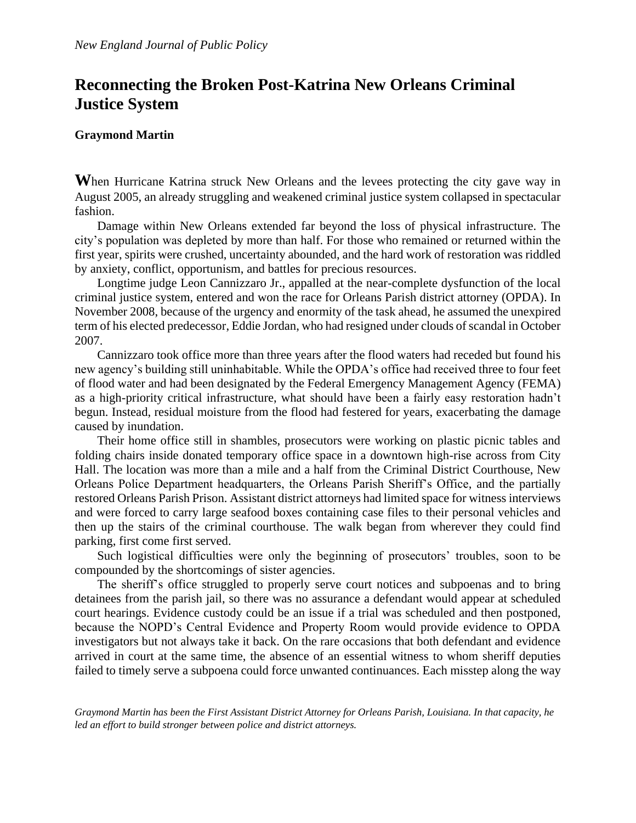## **Reconnecting the Broken Post-Katrina New Orleans Criminal Justice System**

### **Graymond Martin**

**W**hen Hurricane Katrina struck New Orleans and the levees protecting the city gave way in August 2005, an already struggling and weakened criminal justice system collapsed in spectacular fashion.

Damage within New Orleans extended far beyond the loss of physical infrastructure. The city's population was depleted by more than half. For those who remained or returned within the first year, spirits were crushed, uncertainty abounded, and the hard work of restoration was riddled by anxiety, conflict, opportunism, and battles for precious resources.

Longtime judge Leon Cannizzaro Jr., appalled at the near-complete dysfunction of the local criminal justice system, entered and won the race for Orleans Parish district attorney (OPDA). In November 2008, because of the urgency and enormity of the task ahead, he assumed the unexpired term of his elected predecessor, Eddie Jordan, who had resigned under clouds of scandal in October 2007.

Cannizzaro took office more than three years after the flood waters had receded but found his new agency's building still uninhabitable. While the OPDA's office had received three to four feet of flood water and had been designated by the Federal Emergency Management Agency (FEMA) as a high-priority critical infrastructure, what should have been a fairly easy restoration hadn't begun. Instead, residual moisture from the flood had festered for years, exacerbating the damage caused by inundation.

Their home office still in shambles, prosecutors were working on plastic picnic tables and folding chairs inside donated temporary office space in a downtown high-rise across from City Hall. The location was more than a mile and a half from the Criminal District Courthouse, New Orleans Police Department headquarters, the Orleans Parish Sheriff's Office, and the partially restored Orleans Parish Prison. Assistant district attorneys had limited space for witness interviews and were forced to carry large seafood boxes containing case files to their personal vehicles and then up the stairs of the criminal courthouse. The walk began from wherever they could find parking, first come first served.

Such logistical difficulties were only the beginning of prosecutors' troubles, soon to be compounded by the shortcomings of sister agencies.

The sheriff's office struggled to properly serve court notices and subpoenas and to bring detainees from the parish jail, so there was no assurance a defendant would appear at scheduled court hearings. Evidence custody could be an issue if a trial was scheduled and then postponed, because the NOPD's Central Evidence and Property Room would provide evidence to OPDA investigators but not always take it back. On the rare occasions that both defendant and evidence arrived in court at the same time, the absence of an essential witness to whom sheriff deputies failed to timely serve a subpoena could force unwanted continuances. Each misstep along the way

*Graymond Martin has been the First Assistant District Attorney for Orleans Parish, Louisiana. In that capacity, he led an effort to build stronger between police and district attorneys.*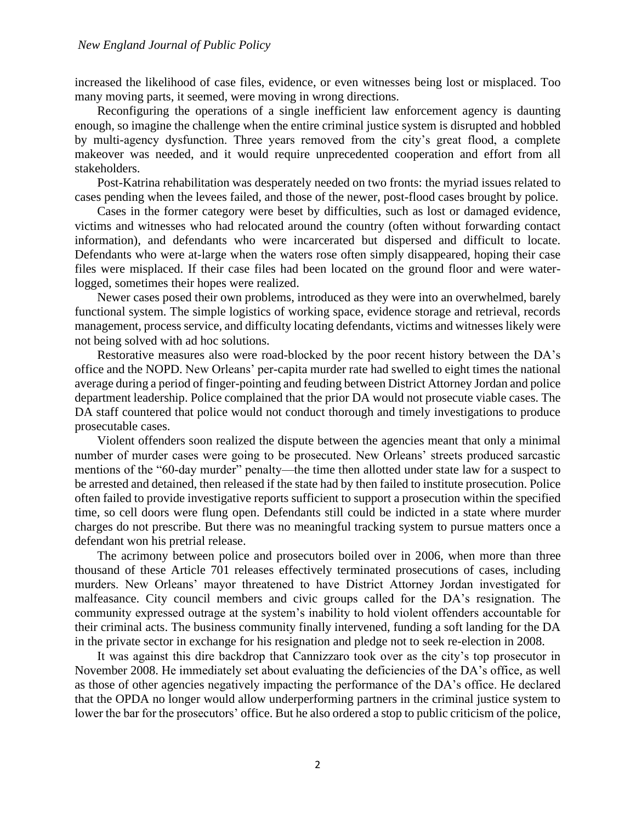increased the likelihood of case files, evidence, or even witnesses being lost or misplaced. Too many moving parts, it seemed, were moving in wrong directions.

Reconfiguring the operations of a single inefficient law enforcement agency is daunting enough, so imagine the challenge when the entire criminal justice system is disrupted and hobbled by multi-agency dysfunction. Three years removed from the city's great flood, a complete makeover was needed, and it would require unprecedented cooperation and effort from all stakeholders.

Post-Katrina rehabilitation was desperately needed on two fronts: the myriad issues related to cases pending when the levees failed, and those of the newer, post-flood cases brought by police.

Cases in the former category were beset by difficulties, such as lost or damaged evidence, victims and witnesses who had relocated around the country (often without forwarding contact information), and defendants who were incarcerated but dispersed and difficult to locate. Defendants who were at-large when the waters rose often simply disappeared, hoping their case files were misplaced. If their case files had been located on the ground floor and were waterlogged, sometimes their hopes were realized.

Newer cases posed their own problems, introduced as they were into an overwhelmed, barely functional system. The simple logistics of working space, evidence storage and retrieval, records management, process service, and difficulty locating defendants, victims and witnesses likely were not being solved with ad hoc solutions.

Restorative measures also were road-blocked by the poor recent history between the DA's office and the NOPD. New Orleans' per-capita murder rate had swelled to eight times the national average during a period of finger-pointing and feuding between District Attorney Jordan and police department leadership. Police complained that the prior DA would not prosecute viable cases. The DA staff countered that police would not conduct thorough and timely investigations to produce prosecutable cases.

Violent offenders soon realized the dispute between the agencies meant that only a minimal number of murder cases were going to be prosecuted. New Orleans' streets produced sarcastic mentions of the "60-day murder" penalty—the time then allotted under state law for a suspect to be arrested and detained, then released if the state had by then failed to institute prosecution. Police often failed to provide investigative reports sufficient to support a prosecution within the specified time, so cell doors were flung open. Defendants still could be indicted in a state where murder charges do not prescribe. But there was no meaningful tracking system to pursue matters once a defendant won his pretrial release.

The acrimony between police and prosecutors boiled over in 2006, when more than three thousand of these Article 701 releases effectively terminated prosecutions of cases, including murders. New Orleans' mayor threatened to have District Attorney Jordan investigated for malfeasance. City council members and civic groups called for the DA's resignation. The community expressed outrage at the system's inability to hold violent offenders accountable for their criminal acts. The business community finally intervened, funding a soft landing for the DA in the private sector in exchange for his resignation and pledge not to seek re-election in 2008.

It was against this dire backdrop that Cannizzaro took over as the city's top prosecutor in November 2008. He immediately set about evaluating the deficiencies of the DA's office, as well as those of other agencies negatively impacting the performance of the DA's office. He declared that the OPDA no longer would allow underperforming partners in the criminal justice system to lower the bar for the prosecutors' office. But he also ordered a stop to public criticism of the police,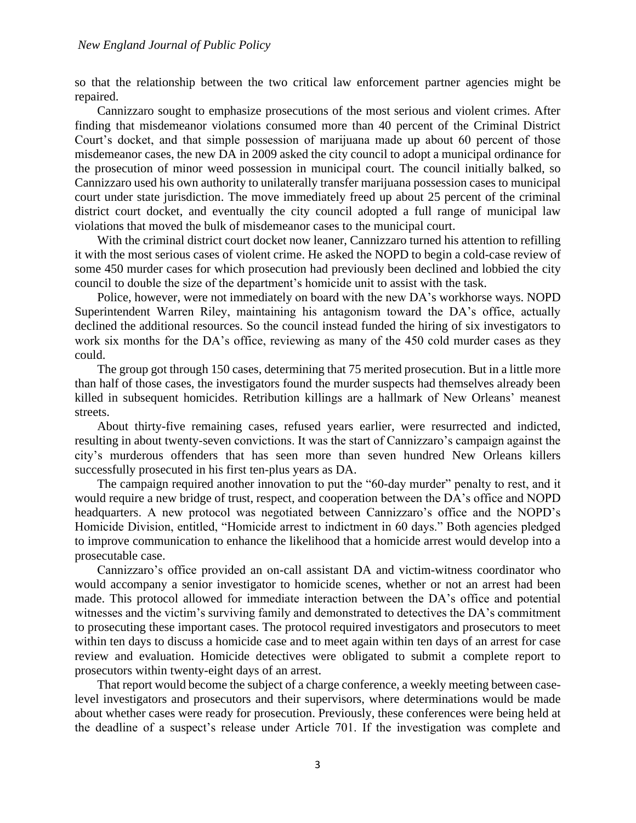so that the relationship between the two critical law enforcement partner agencies might be repaired.

Cannizzaro sought to emphasize prosecutions of the most serious and violent crimes. After finding that misdemeanor violations consumed more than 40 percent of the Criminal District Court's docket, and that simple possession of marijuana made up about 60 percent of those misdemeanor cases, the new DA in 2009 asked the city council to adopt a municipal ordinance for the prosecution of minor weed possession in municipal court. The council initially balked, so Cannizzaro used his own authority to unilaterally transfer marijuana possession cases to municipal court under state jurisdiction. The move immediately freed up about 25 percent of the criminal district court docket, and eventually the city council adopted a full range of municipal law violations that moved the bulk of misdemeanor cases to the municipal court.

With the criminal district court docket now leaner, Cannizzaro turned his attention to refilling it with the most serious cases of violent crime. He asked the NOPD to begin a cold-case review of some 450 murder cases for which prosecution had previously been declined and lobbied the city council to double the size of the department's homicide unit to assist with the task.

Police, however, were not immediately on board with the new DA's workhorse ways. NOPD Superintendent Warren Riley, maintaining his antagonism toward the DA's office, actually declined the additional resources. So the council instead funded the hiring of six investigators to work six months for the DA's office, reviewing as many of the 450 cold murder cases as they could.

The group got through 150 cases, determining that 75 merited prosecution. But in a little more than half of those cases, the investigators found the murder suspects had themselves already been killed in subsequent homicides. Retribution killings are a hallmark of New Orleans' meanest streets.

About thirty-five remaining cases, refused years earlier, were resurrected and indicted, resulting in about twenty-seven convictions. It was the start of Cannizzaro's campaign against the city's murderous offenders that has seen more than seven hundred New Orleans killers successfully prosecuted in his first ten-plus years as DA.

The campaign required another innovation to put the "60-day murder" penalty to rest, and it would require a new bridge of trust, respect, and cooperation between the DA's office and NOPD headquarters. A new protocol was negotiated between Cannizzaro's office and the NOPD's Homicide Division, entitled, "Homicide arrest to indictment in 60 days." Both agencies pledged to improve communication to enhance the likelihood that a homicide arrest would develop into a prosecutable case.

Cannizzaro's office provided an on-call assistant DA and victim-witness coordinator who would accompany a senior investigator to homicide scenes, whether or not an arrest had been made. This protocol allowed for immediate interaction between the DA's office and potential witnesses and the victim's surviving family and demonstrated to detectives the DA's commitment to prosecuting these important cases. The protocol required investigators and prosecutors to meet within ten days to discuss a homicide case and to meet again within ten days of an arrest for case review and evaluation. Homicide detectives were obligated to submit a complete report to prosecutors within twenty-eight days of an arrest.

That report would become the subject of a charge conference, a weekly meeting between caselevel investigators and prosecutors and their supervisors, where determinations would be made about whether cases were ready for prosecution. Previously, these conferences were being held at the deadline of a suspect's release under Article 701. If the investigation was complete and